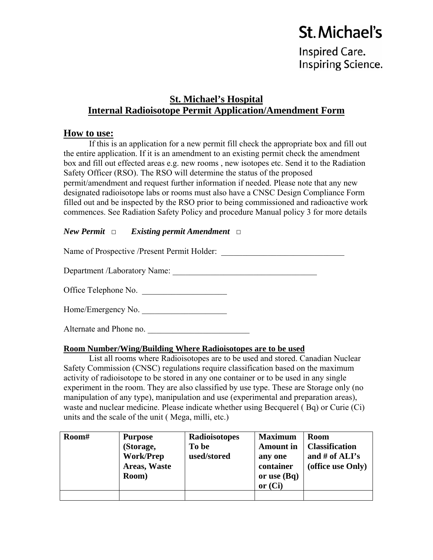# **St. Michael's**

**Inspired Care. Inspiring Science.** 

# **St. Michael's Hospital Internal Radioisotope Permit Application/Amendment Form**

# **How to use:**

If this is an application for a new permit fill check the appropriate box and fill out the entire application. If it is an amendment to an existing permit check the amendment box and fill out effected areas e.g. new rooms , new isotopes etc. Send it to the Radiation Safety Officer (RSO). The RSO will determine the status of the proposed permit/amendment and request further information if needed. Please note that any new designated radioisotope labs or rooms must also have a CNSC Design Compliance Form filled out and be inspected by the RSO prior to being commissioned and radioactive work commences. See Radiation Safety Policy and procedure Manual policy 3 for more details

## *New Permit* □ *Existing permit Amendment* □

Name of Prospective /Present Permit Holder: \_\_\_\_\_\_\_\_\_\_\_\_\_\_\_\_\_\_\_\_\_\_\_\_\_\_\_\_\_

Department /Laboratory Name: \_\_\_\_\_\_\_\_\_\_\_\_\_\_\_\_\_\_\_\_\_\_\_\_\_\_\_\_\_\_\_\_\_\_

Office Telephone No.

| Home/Emergency No. |  |
|--------------------|--|
|--------------------|--|

Alternate and Phone no.

#### **Room Number/Wing/Building Where Radioisotopes are to be used**

List all rooms where Radioisotopes are to be used and stored. Canadian Nuclear Safety Commission (CNSC) regulations require classification based on the maximum activity of radioisotope to be stored in any one container or to be used in any single experiment in the room. They are also classified by use type. These are Storage only (no manipulation of any type), manipulation and use (experimental and preparation areas), waste and nuclear medicine. Please indicate whether using Becquerel ( Bq) or Curie (Ci) units and the scale of the unit ( Mega, milli, etc.)

| Room# | <b>Purpose</b><br>(Storage,<br><b>Work/Prep</b><br>Areas, Waste<br>Room) | <b>Radioisotopes</b><br>To be<br>used/stored | <b>Maximum</b><br><b>Amount</b> in<br>any one<br>container<br>or use $(Bq)$<br>or $(Ci)$ | <b>Room</b><br><b>Classification</b><br>and # of $ALI's$<br>(office use Only) |
|-------|--------------------------------------------------------------------------|----------------------------------------------|------------------------------------------------------------------------------------------|-------------------------------------------------------------------------------|
|       |                                                                          |                                              |                                                                                          |                                                                               |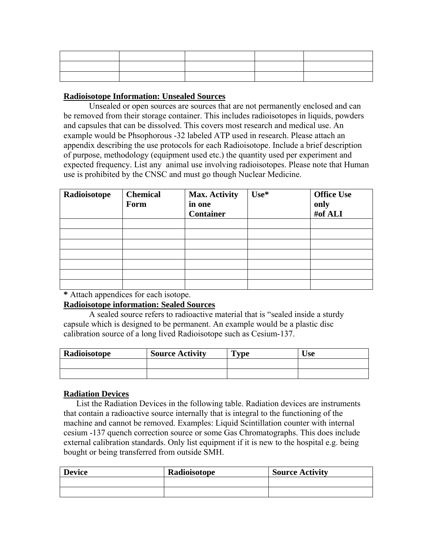| the contract of the contract of the |  |  |
|-------------------------------------|--|--|
|                                     |  |  |

## **Radioisotope Information: Unsealed Sources**

Unsealed or open sources are sources that are not permanently enclosed and can be removed from their storage container. This includes radioisotopes in liquids, powders and capsules that can be dissolved. This covers most research and medical use. An example would be Phsophorous -32 labeled ATP used in research. Please attach an appendix describing the use protocols for each Radioisotope. Include a brief description of purpose, methodology (equipment used etc.) the quantity used per experiment and expected frequency. List any animal use involving radioisotopes. Please note that Human use is prohibited by the CNSC and must go though Nuclear Medicine.

| Radioisotope | <b>Chemical</b><br>Form | <b>Max. Activity</b><br>in one<br><b>Container</b> | Use* | <b>Office Use</b><br>only<br>#of ALI |
|--------------|-------------------------|----------------------------------------------------|------|--------------------------------------|
|              |                         |                                                    |      |                                      |
|              |                         |                                                    |      |                                      |
|              |                         |                                                    |      |                                      |
|              |                         |                                                    |      |                                      |
|              |                         |                                                    |      |                                      |
|              |                         |                                                    |      |                                      |
|              |                         |                                                    |      |                                      |

**\*** Attach appendices for each isotope.

#### **Radioisotope information: Sealed Sources**

A sealed source refers to radioactive material that is "sealed inside a sturdy capsule which is designed to be permanent. An example would be a plastic disc calibration source of a long lived Radioisotope such as Cesium-137.

| Radioisotope | <b>Source Activity</b> | $T$ vpe | Use |
|--------------|------------------------|---------|-----|
|              |                        |         |     |
|              |                        |         |     |

#### **Radiation Devices**

List the Radiation Devices in the following table. Radiation devices are instruments that contain a radioactive source internally that is integral to the functioning of the machine and cannot be removed. Examples: Liquid Scintillation counter with internal cesium -137 quench correction source or some Gas Chromatographs. This does include external calibration standards. Only list equipment if it is new to the hospital e.g. being bought or being transferred from outside SMH.

| <b>Device</b> | Radioisotope | <b>Source Activity</b> |
|---------------|--------------|------------------------|
|               |              |                        |
|               |              |                        |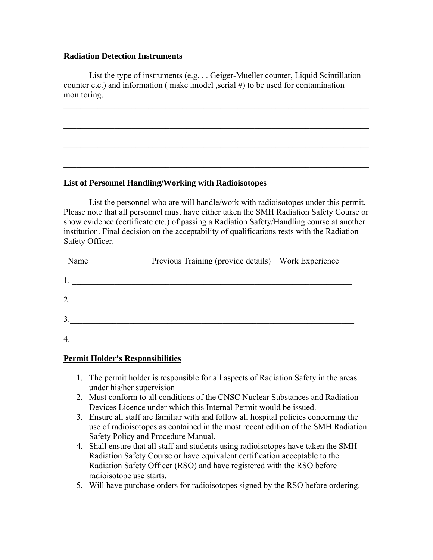#### **Radiation Detection Instruments**

List the type of instruments (e.g. . . Geiger-Mueller counter, Liquid Scintillation counter etc.) and information ( make ,model ,serial #) to be used for contamination monitoring.

 $\_$  , and the set of the set of the set of the set of the set of the set of the set of the set of the set of the set of the set of the set of the set of the set of the set of the set of the set of the set of the set of th

 $\_$  , and the set of the set of the set of the set of the set of the set of the set of the set of the set of the set of the set of the set of the set of the set of the set of the set of the set of the set of the set of th

 $\mathcal{L}_\text{max} = \mathcal{L}_\text{max} = \mathcal{L}_\text{max} = \mathcal{L}_\text{max} = \mathcal{L}_\text{max} = \mathcal{L}_\text{max} = \mathcal{L}_\text{max} = \mathcal{L}_\text{max} = \mathcal{L}_\text{max} = \mathcal{L}_\text{max} = \mathcal{L}_\text{max} = \mathcal{L}_\text{max} = \mathcal{L}_\text{max} = \mathcal{L}_\text{max} = \mathcal{L}_\text{max} = \mathcal{L}_\text{max} = \mathcal{L}_\text{max} = \mathcal{L}_\text{max} = \mathcal{$ 

 $\_$  , and the set of the set of the set of the set of the set of the set of the set of the set of the set of the set of the set of the set of the set of the set of the set of the set of the set of the set of the set of th

#### **List of Personnel Handling/Working with Radioisotopes**

List the personnel who are will handle/work with radioisotopes under this permit. Please note that all personnel must have either taken the SMH Radiation Safety Course or show evidence (certificate etc.) of passing a Radiation Safety/Handling course at another institution. Final decision on the acceptability of qualifications rests with the Radiation Safety Officer.

| Name           | Previous Training (provide details) Work Experience |  |
|----------------|-----------------------------------------------------|--|
|                |                                                     |  |
| 2.             |                                                     |  |
| 3 <sub>1</sub> |                                                     |  |
| $\overline{4}$ |                                                     |  |

#### **Permit Holder's Responsibilities**

- 1. The permit holder is responsible for all aspects of Radiation Safety in the areas under his/her supervision
- 2. Must conform to all conditions of the CNSC Nuclear Substances and Radiation Devices Licence under which this Internal Permit would be issued.
- 3. Ensure all staff are familiar with and follow all hospital policies concerning the use of radioisotopes as contained in the most recent edition of the SMH Radiation Safety Policy and Procedure Manual.
- 4. Shall ensure that all staff and students using radioisotopes have taken the SMH Radiation Safety Course or have equivalent certification acceptable to the Radiation Safety Officer (RSO) and have registered with the RSO before radioisotope use starts.
- 5. Will have purchase orders for radioisotopes signed by the RSO before ordering.